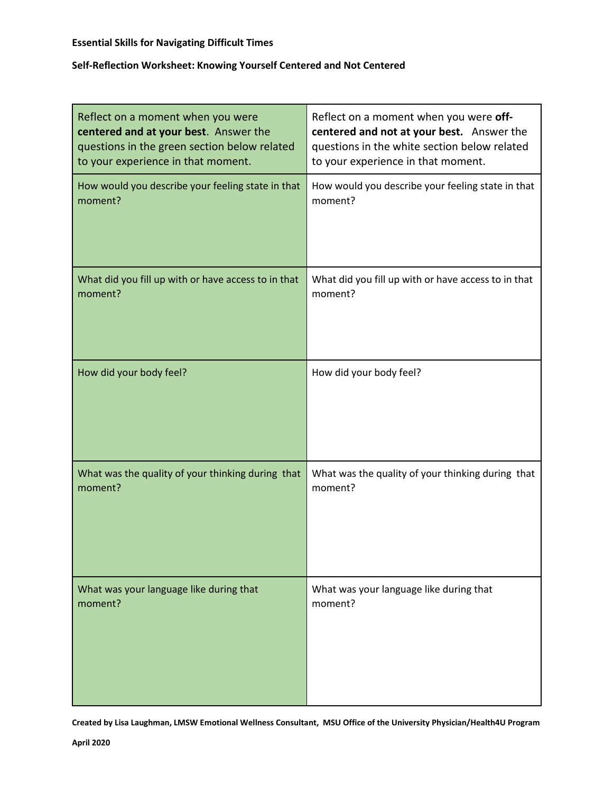## **Self-Reflection Worksheet: Knowing Yourself Centered and Not Centered**

| Reflect on a moment when you were                   | Reflect on a moment when you were off-              |
|-----------------------------------------------------|-----------------------------------------------------|
| centered and at your best. Answer the               | centered and not at your best. Answer the           |
| questions in the green section below related        | questions in the white section below related        |
| to your experience in that moment.                  | to your experience in that moment.                  |
| How would you describe your feeling state in that   | How would you describe your feeling state in that   |
| moment?                                             | moment?                                             |
| What did you fill up with or have access to in that | What did you fill up with or have access to in that |
| moment?                                             | moment?                                             |
| How did your body feel?                             | How did your body feel?                             |
| What was the quality of your thinking during that   | What was the quality of your thinking during that   |
| moment?                                             | moment?                                             |
| What was your language like during that             | What was your language like during that             |
| moment?                                             | moment?                                             |

**Created by Lisa Laughman, LMSW Emotional Wellness Consultant, MSU Office of the University Physician/Health4U Program**